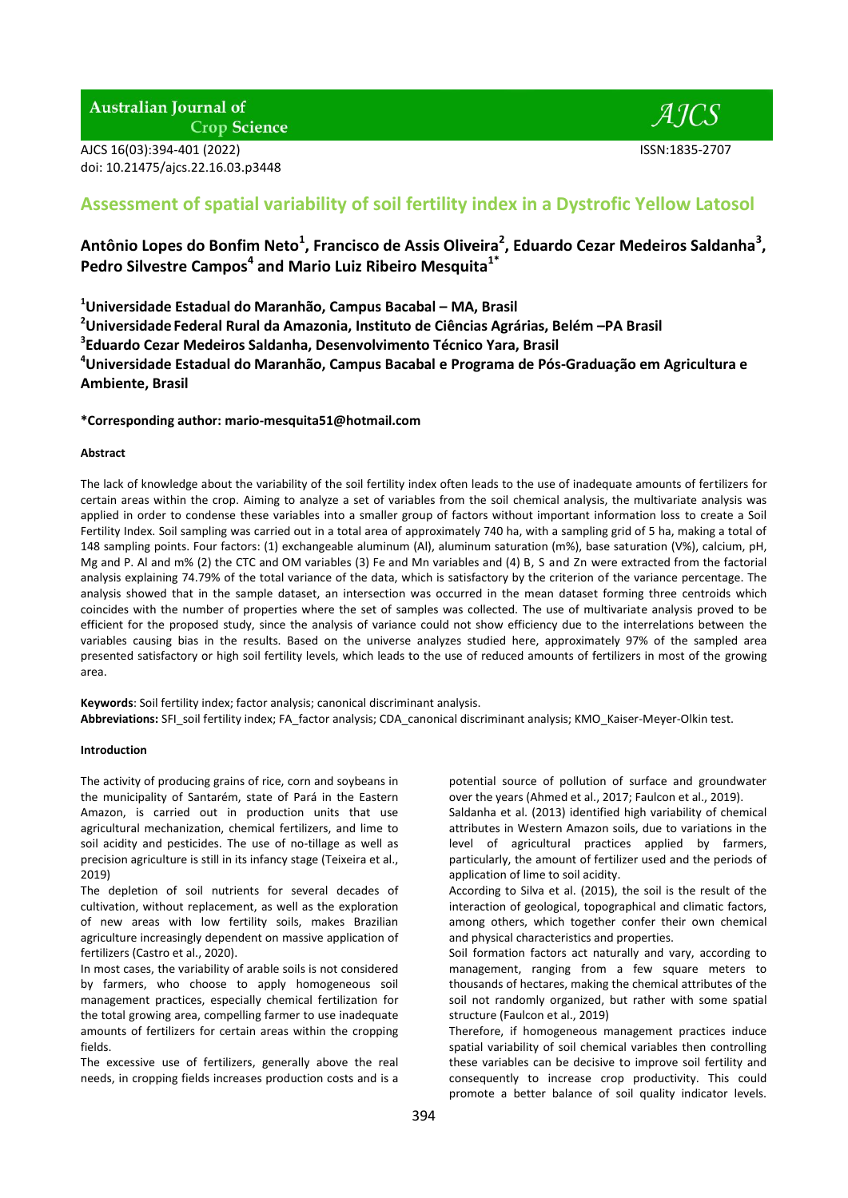AJCS 16(03):394-401 (2022) ISSN:1835-2707 doi: 10.21475/ajcs.22.16.03.p3448

- *A ICS* 

# **Assessment of spatial variability of soil fertility index in a Dystrofic Yellow Latosol**

## **Antônio Lopes do Bonfim Neto<sup>1</sup> , Francisco de Assis Oliveira<sup>2</sup> , Eduardo Cezar Medeiros Saldanha<sup>3</sup> , Pedro Silvestre Campos<sup>4</sup> and Mario Luiz Ribeiro Mesquita1\***

**<sup>1</sup>Universidade Estadual do Maranhão, Campus Bacabal – MA, Brasil**

**<sup>2</sup>Universidade Federal Rural da Amazonia, Instituto de Ciências Agrárias, Belém –PA Brasil**

**3 Eduardo Cezar Medeiros Saldanha, Desenvolvimento Técnico Yara, Brasil**

**<sup>4</sup>Universidade Estadual do Maranhão, Campus Bacabal e Programa de Pós-Graduação em Agricultura e Ambiente, Brasil**

**\*Corresponding author: [mario-mesquita51@hotmail.com](mailto:mario-mesquita51@hotmail.com)**

## **Abstract**

The lack of knowledge about the variability of the soil fertility index often leads to the use of inadequate amounts of fertilizers for certain areas within the crop. Aiming to analyze a set of variables from the soil chemical analysis, the multivariate analysis was applied in order to condense these variables into a smaller group of factors without important information loss to create a Soil Fertility Index. Soil sampling was carried out in a total area of approximately 740 ha, with a sampling grid of 5 ha, making a total of 148 sampling points. Four factors: (1) exchangeable aluminum (Al), aluminum saturation (m%), base saturation (V%), calcium, pH, Mg and P. Al and m% (2) the CTC and OM variables (3) Fe and Mn variables and (4) B, S and Zn were extracted from the factorial analysis explaining 74.79% of the total variance of the data, which is satisfactory by the criterion of the variance percentage. The analysis showed that in the sample dataset, an intersection was occurred in the mean dataset forming three centroids which coincides with the number of properties where the set of samples was collected. The use of multivariate analysis proved to be efficient for the proposed study, since the analysis of variance could not show efficiency due to the interrelations between the variables causing bias in the results. Based on the universe analyzes studied here, approximately 97% of the sampled area presented satisfactory or high soil fertility levels, which leads to the use of reduced amounts of fertilizers in most of the growing area.

**Keywords**: Soil fertility index; factor analysis; canonical discriminant analysis. **Abbreviations:** SFI\_soil fertility index; FA\_factor analysis; CDA\_canonical discriminant analysis; KMO\_Kaiser-Meyer-Olkin test.

## **Introduction**

The activity of producing grains of rice, corn and soybeans in the municipality of Santarém, state of Pará in the Eastern Amazon, is carried out in production units that use agricultural mechanization, chemical fertilizers, and lime to soil acidity and pesticides. The use of no-tillage as well as precision agriculture is still in its infancy stage (Teixeira et al., 2019)

The depletion of soil nutrients for several decades of cultivation, without replacement, as well as the exploration of new areas with low fertility soils, makes Brazilian agriculture increasingly dependent on massive application of fertilizers (Castro et al., 2020).

In most cases, the variability of arable soils is not considered by farmers, who choose to apply homogeneous soil management practices, especially chemical fertilization for the total growing area, compelling farmer to use inadequate amounts of fertilizers for certain areas within the cropping fields.

The excessive use of fertilizers, generally above the real needs, in cropping fields increases production costs and is a

potential source of pollution of surface and groundwater over the years (Ahmed et al., 2017; Faulcon et al., 2019).

Saldanha et al. (2013) identified high variability of chemical attributes in Western Amazon soils, due to variations in the level of agricultural practices applied by farmers, particularly, the amount of fertilizer used and the periods of application of lime to soil acidity.

According to Silva et al. (2015), the soil is the result of the interaction of geological, topographical and climatic factors, among others, which together confer their own chemical and physical characteristics and properties.

Soil formation factors act naturally and vary, according to management, ranging from a few square meters to thousands of hectares, making the chemical attributes of the soil not randomly organized, but rather with some spatial structure (Faulcon et al., 2019)

Therefore, if homogeneous management practices induce spatial variability of soil chemical variables then controlling these variables can be decisive to improve soil fertility and consequently to increase crop productivity. This could promote a better balance of soil quality indicator levels.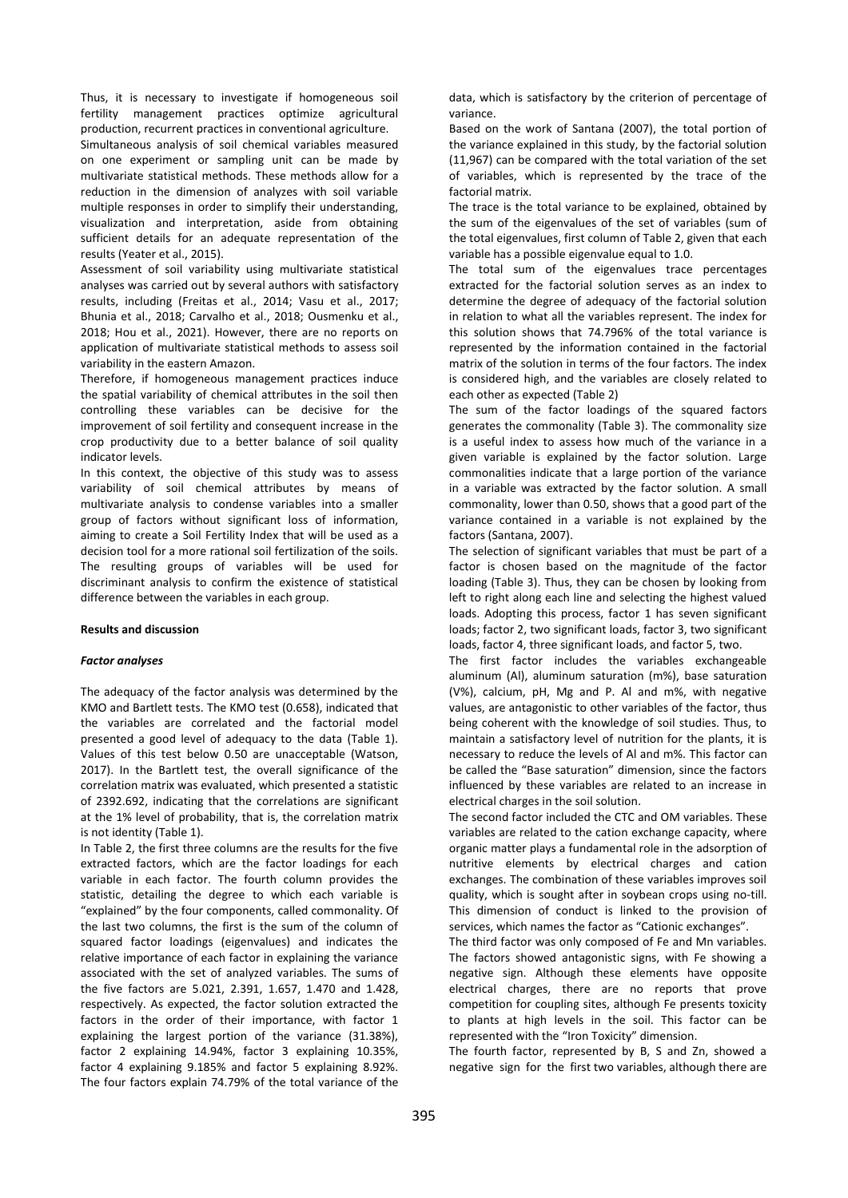Thus, it is necessary to investigate if homogeneous soil fertility management practices optimize agricultural production, recurrent practices in conventional agriculture.

Simultaneous analysis of soil chemical variables measured on one experiment or sampling unit can be made by multivariate statistical methods. These methods allow for a reduction in the dimension of analyzes with soil variable multiple responses in order to simplify their understanding, visualization and interpretation, aside from obtaining sufficient details for an adequate representation of the results (Yeater et al., 2015).

Assessment of soil variability using multivariate statistical analyses was carried out by several authors with satisfactory results, including (Freitas et al., 2014; Vasu et al., 2017; Bhunia et al., 2018; Carvalho et al., 2018; Ousmenku et al., 2018; Hou et al., 2021). However, there are no reports on application of multivariate statistical methods to assess soil variability in the eastern Amazon.

Therefore, if homogeneous management practices induce the spatial variability of chemical attributes in the soil then controlling these variables can be decisive for the improvement of soil fertility and consequent increase in the crop productivity due to a better balance of soil quality indicator levels.

In this context, the objective of this study was to assess variability of soil chemical attributes by means of multivariate analysis to condense variables into a smaller group of factors without significant loss of information, aiming to create a Soil Fertility Index that will be used as a decision tool for a more rational soil fertilization of the soils. The resulting groups of variables will be used for discriminant analysis to confirm the existence of statistical difference between the variables in each group.

## **Results and discussion**

## *Factor analyses*

The adequacy of the factor analysis was determined by the KMO and Bartlett tests. The KMO test (0.658), indicated that the variables are correlated and the factorial model presented a good level of adequacy to the data (Table 1). Values of this test below 0.50 are unacceptable (Watson, 2017). In the Bartlett test, the overall significance of the correlation matrix was evaluated, which presented a statistic of 2392.692, indicating that the correlations are significant at the 1% level of probability, that is, the correlation matrix is not identity (Table 1).

In Table 2, the first three columns are the results for the five extracted factors, which are the factor loadings for each variable in each factor. The fourth column provides the statistic, detailing the degree to which each variable is "explained" by the four components, called commonality. Of the last two columns, the first is the sum of the column of squared factor loadings (eigenvalues) and indicates the relative importance of each factor in explaining the variance associated with the set of analyzed variables. The sums of the five factors are 5.021, 2.391, 1.657, 1.470 and 1.428, respectively. As expected, the factor solution extracted the factors in the order of their importance, with factor 1 explaining the largest portion of the variance (31.38%), factor 2 explaining 14.94%, factor 3 explaining 10.35%, factor 4 explaining 9.185% and factor 5 explaining 8.92%. The four factors explain 74.79% of the total variance of the

data, which is satisfactory by the criterion of percentage of variance.

Based on the work of Santana (2007), the total portion of the variance explained in this study, by the factorial solution (11,967) can be compared with the total variation of the set of variables, which is represented by the trace of the factorial matrix.

The trace is the total variance to be explained, obtained by the sum of the eigenvalues of the set of variables (sum of the total eigenvalues, first column of Table 2, given that each variable has a possible eigenvalue equal to 1.0.

The total sum of the eigenvalues trace percentages extracted for the factorial solution serves as an index to determine the degree of adequacy of the factorial solution in relation to what all the variables represent. The index for this solution shows that 74.796% of the total variance is represented by the information contained in the factorial matrix of the solution in terms of the four factors. The index is considered high, and the variables are closely related to each other as expected (Table 2)

The sum of the factor loadings of the squared factors generates the commonality (Table 3). The commonality size is a useful index to assess how much of the variance in a given variable is explained by the factor solution. Large commonalities indicate that a large portion of the variance in a variable was extracted by the factor solution. A small commonality, lower than 0.50, shows that a good part of the variance contained in a variable is not explained by the factors (Santana, 2007).

The selection of significant variables that must be part of a factor is chosen based on the magnitude of the factor loading (Table 3). Thus, they can be chosen by looking from left to right along each line and selecting the highest valued loads. Adopting this process, factor 1 has seven significant loads; factor 2, two significant loads, factor 3, two significant loads, factor 4, three significant loads, and factor 5, two.

The first factor includes the variables exchangeable aluminum (Al), aluminum saturation (m%), base saturation (V%), calcium, pH, Mg and P. Al and m%, with negative values, are antagonistic to other variables of the factor, thus being coherent with the knowledge of soil studies. Thus, to maintain a satisfactory level of nutrition for the plants, it is necessary to reduce the levels of Al and m%. This factor can be called the "Base saturation" dimension, since the factors influenced by these variables are related to an increase in electrical charges in the soil solution.

The second factor included the CTC and OM variables. These variables are related to the cation exchange capacity, where organic matter plays a fundamental role in the adsorption of nutritive elements by electrical charges and cation exchanges. The combination of these variables improves soil quality, which is sought after in soybean crops using no-till. This dimension of conduct is linked to the provision of services, which names the factor as "Cationic exchanges".

The third factor was only composed of Fe and Mn variables. The factors showed antagonistic signs, with Fe showing a negative sign. Although these elements have opposite electrical charges, there are no reports that prove competition for coupling sites, although Fe presents toxicity to plants at high levels in the soil. This factor can be represented with the "Iron Toxicity" dimension.

The fourth factor, represented by B, S and Zn, showed a negative sign for the first two variables, although there are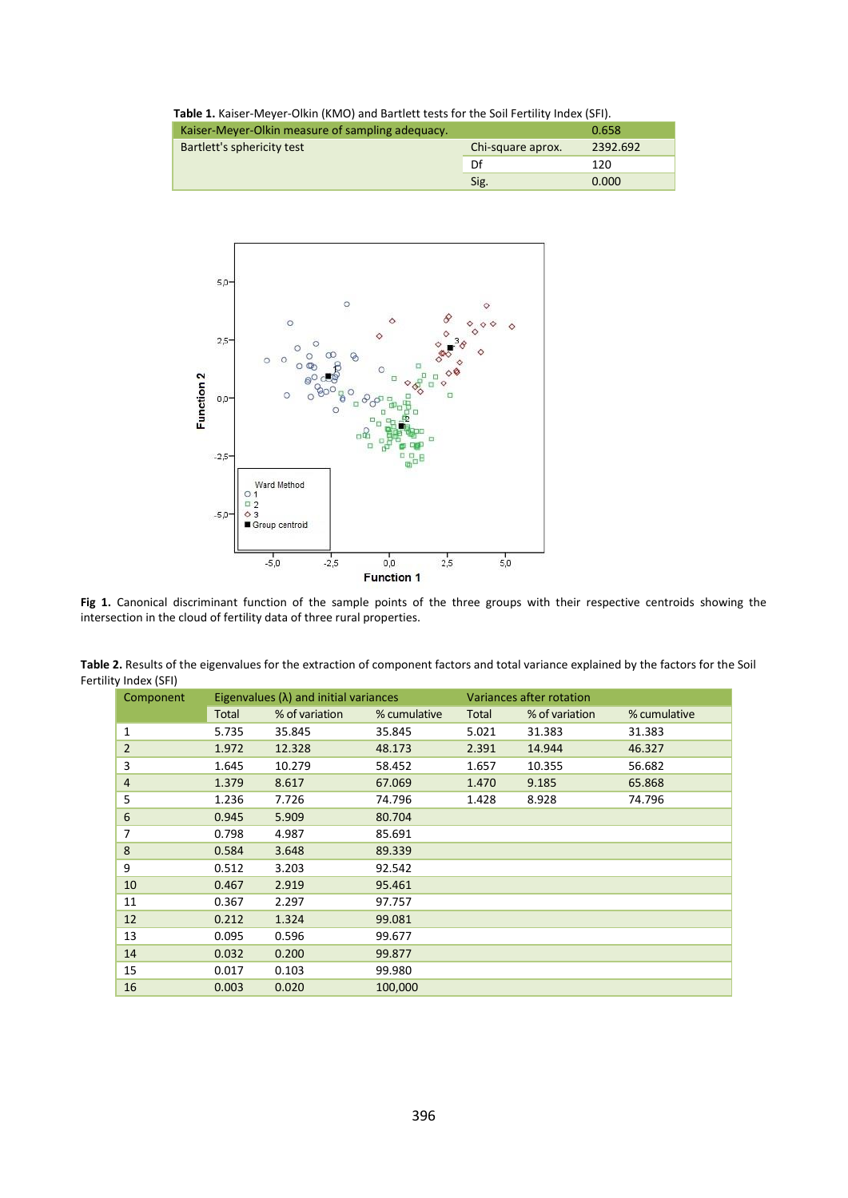| Table 1. Kaiser-Meyer-Olkin (KMO) and Bartlett tests for the Soil Fertility Index (SFI). |                   |          |  |  |  |
|------------------------------------------------------------------------------------------|-------------------|----------|--|--|--|
| Kaiser-Meyer-Olkin measure of sampling adequacy.<br>0.658                                |                   |          |  |  |  |
| Bartlett's sphericity test                                                               | Chi-square aprox. | 2392.692 |  |  |  |
|                                                                                          | Df                | 120      |  |  |  |
|                                                                                          | Sig.              | 0.000    |  |  |  |



**Fig 1.** Canonical discriminant function of the sample points of the three groups with their respective centroids showing the intersection in the cloud of fertility data of three rural properties.

|              |                |              | Variances after rotation                      |                |              |  |
|--------------|----------------|--------------|-----------------------------------------------|----------------|--------------|--|
| <b>Total</b> | % of variation | % cumulative | Total                                         | % of variation | % cumulative |  |
| 5.735        | 35.845         | 35.845       | 5.021                                         | 31.383         | 31.383       |  |
| 1.972        | 12.328         | 48.173       | 2.391                                         | 14.944         | 46.327       |  |
| 1.645        | 10.279         | 58.452       | 1.657                                         | 10.355         | 56.682       |  |
| 1.379        | 8.617          | 67.069       | 1.470                                         | 9.185          | 65.868       |  |
| 1.236        | 7.726          | 74.796       | 1.428                                         | 8.928          | 74.796       |  |
| 0.945        | 5.909          | 80.704       |                                               |                |              |  |
| 0.798        | 4.987          | 85.691       |                                               |                |              |  |
| 0.584        | 3.648          | 89.339       |                                               |                |              |  |
| 0.512        | 3.203          | 92.542       |                                               |                |              |  |
| 0.467        | 2.919          | 95.461       |                                               |                |              |  |
| 0.367        | 2.297          | 97.757       |                                               |                |              |  |
| 0.212        | 1.324          | 99.081       |                                               |                |              |  |
| 0.095        | 0.596          | 99.677       |                                               |                |              |  |
| 0.032        | 0.200          | 99.877       |                                               |                |              |  |
| 0.017        | 0.103          | 99.980       |                                               |                |              |  |
| 0.003        | 0.020          | 100,000      |                                               |                |              |  |
|              |                |              | Eigenvalues $(\lambda)$ and initial variances |                |              |  |

**Table 2.** Results of the eigenvalues for the extraction of component factors and total variance explained by the factors for the Soil Fertility Index (SFI)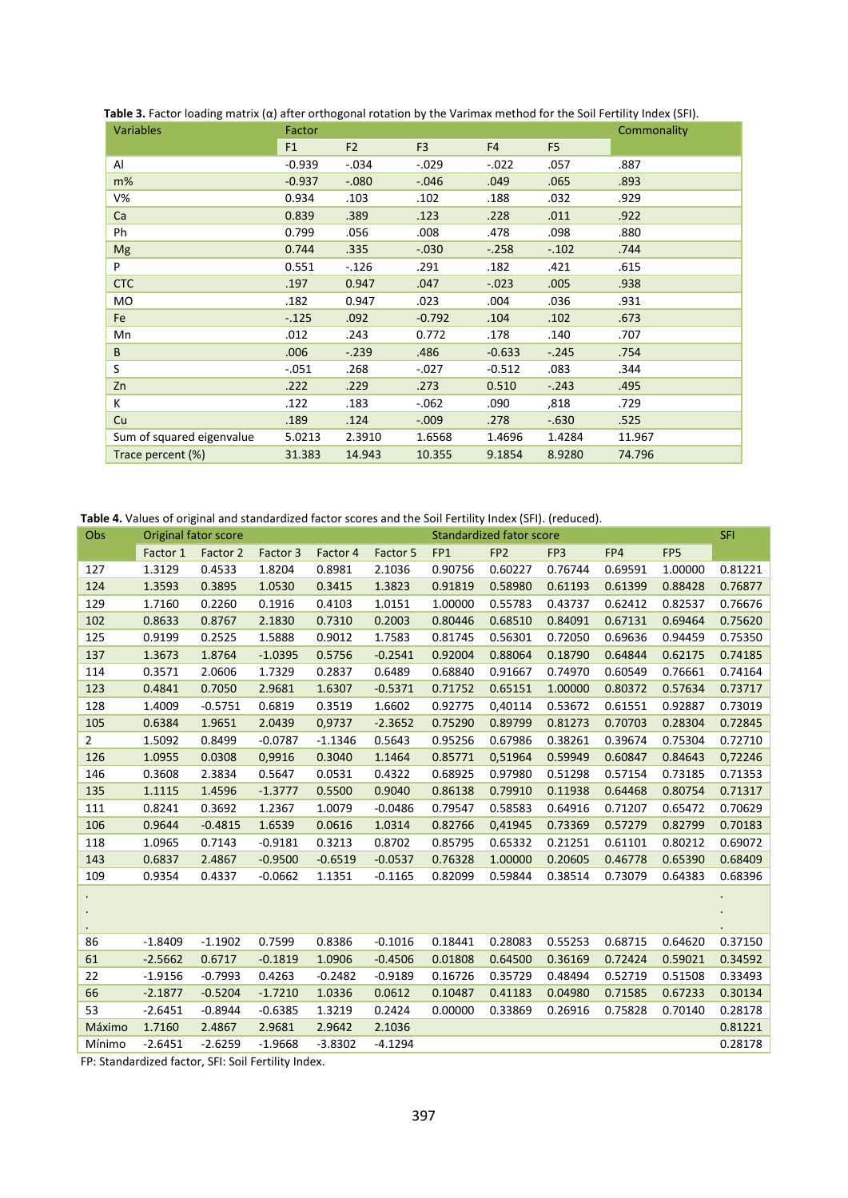| <b>Variables</b>          | Factor   |                | Commonality    |                |                |        |
|---------------------------|----------|----------------|----------------|----------------|----------------|--------|
|                           | F1       | F <sub>2</sub> | F <sub>3</sub> | F <sub>4</sub> | F <sub>5</sub> |        |
| Al                        | $-0.939$ | $-.034$        | $-0.029$       | $-.022$        | .057           | .887   |
| m%                        | $-0.937$ | $-.080$        | $-0.046$       | .049           | .065           | .893   |
| $V\%$                     | 0.934    | .103           | .102           | .188           | .032           | .929   |
| Ca                        | 0.839    | .389           | .123           | .228           | .011           | .922   |
| Ph                        | 0.799    | .056           | .008           | .478           | .098           | .880   |
| Mg                        | 0.744    | .335           | $-.030$        | $-.258$        | $-.102$        | .744   |
| P                         | 0.551    | $-.126$        | .291           | .182           | .421           | .615   |
| <b>CTC</b>                | .197     | 0.947          | .047           | $-.023$        | .005           | .938   |
| MO                        | .182     | 0.947          | .023           | .004           | .036           | .931   |
| Fe                        | $-.125$  | .092           | $-0.792$       | .104           | .102           | .673   |
| Mn                        | .012     | .243           | 0.772          | .178           | .140           | .707   |
| B                         | .006     | $-.239$        | .486           | $-0.633$       | $-.245$        | .754   |
| S                         | $-.051$  | .268           | $-.027$        | $-0.512$       | .083           | .344   |
| Zn                        | .222     | .229           | .273           | 0.510          | $-.243$        | .495   |
| К                         | .122     | .183           | $-062$         | .090           | ,818           | .729   |
| Cu                        | .189     | .124           | $-0.009$       | .278           | $-0.630$       | .525   |
| Sum of squared eigenvalue | 5.0213   | 2.3910         | 1.6568         | 1.4696         | 1.4284         | 11.967 |
| Trace percent (%)         | 31.383   | 14.943         | 10.355         | 9.1854         | 8.9280         | 74.796 |

 **Table 3.** Factor loading matrix (α) after orthogonal rotation by the Varimax method for the Soil Fertility Index (SFI).

**Table 4.** Values of original and standardized factor scores and the Soil Fertility Index (SFI). (reduced).

| Obs            | Standardized fator score<br>Original fator score |           |           |           |           |         | <b>SFI</b>      |         |         |                 |         |
|----------------|--------------------------------------------------|-----------|-----------|-----------|-----------|---------|-----------------|---------|---------|-----------------|---------|
|                | Factor 1                                         | Factor 2  | Factor 3  | Factor 4  | Factor 5  | FP1     | FP <sub>2</sub> | FP3     | FP4     | FP <sub>5</sub> |         |
| 127            | 1.3129                                           | 0.4533    | 1.8204    | 0.8981    | 2.1036    | 0.90756 | 0.60227         | 0.76744 | 0.69591 | 1.00000         | 0.81221 |
| 124            | 1.3593                                           | 0.3895    | 1.0530    | 0.3415    | 1.3823    | 0.91819 | 0.58980         | 0.61193 | 0.61399 | 0.88428         | 0.76877 |
| 129            | 1.7160                                           | 0.2260    | 0.1916    | 0.4103    | 1.0151    | 1.00000 | 0.55783         | 0.43737 | 0.62412 | 0.82537         | 0.76676 |
| 102            | 0.8633                                           | 0.8767    | 2.1830    | 0.7310    | 0.2003    | 0.80446 | 0.68510         | 0.84091 | 0.67131 | 0.69464         | 0.75620 |
| 125            | 0.9199                                           | 0.2525    | 1.5888    | 0.9012    | 1.7583    | 0.81745 | 0.56301         | 0.72050 | 0.69636 | 0.94459         | 0.75350 |
| 137            | 1.3673                                           | 1.8764    | $-1.0395$ | 0.5756    | $-0.2541$ | 0.92004 | 0.88064         | 0.18790 | 0.64844 | 0.62175         | 0.74185 |
| 114            | 0.3571                                           | 2.0606    | 1.7329    | 0.2837    | 0.6489    | 0.68840 | 0.91667         | 0.74970 | 0.60549 | 0.76661         | 0.74164 |
| 123            | 0.4841                                           | 0.7050    | 2.9681    | 1.6307    | $-0.5371$ | 0.71752 | 0.65151         | 1.00000 | 0.80372 | 0.57634         | 0.73717 |
| 128            | 1.4009                                           | $-0.5751$ | 0.6819    | 0.3519    | 1.6602    | 0.92775 | 0,40114         | 0.53672 | 0.61551 | 0.92887         | 0.73019 |
| 105            | 0.6384                                           | 1.9651    | 2.0439    | 0,9737    | $-2.3652$ | 0.75290 | 0.89799         | 0.81273 | 0.70703 | 0.28304         | 0.72845 |
| $\overline{2}$ | 1.5092                                           | 0.8499    | $-0.0787$ | $-1.1346$ | 0.5643    | 0.95256 | 0.67986         | 0.38261 | 0.39674 | 0.75304         | 0.72710 |
| 126            | 1.0955                                           | 0.0308    | 0,9916    | 0.3040    | 1.1464    | 0.85771 | 0,51964         | 0.59949 | 0.60847 | 0.84643         | 0,72246 |
| 146            | 0.3608                                           | 2.3834    | 0.5647    | 0.0531    | 0.4322    | 0.68925 | 0.97980         | 0.51298 | 0.57154 | 0.73185         | 0.71353 |
| 135            | 1.1115                                           | 1.4596    | $-1.3777$ | 0.5500    | 0.9040    | 0.86138 | 0.79910         | 0.11938 | 0.64468 | 0.80754         | 0.71317 |
| 111            | 0.8241                                           | 0.3692    | 1.2367    | 1.0079    | $-0.0486$ | 0.79547 | 0.58583         | 0.64916 | 0.71207 | 0.65472         | 0.70629 |
| 106            | 0.9644                                           | $-0.4815$ | 1.6539    | 0.0616    | 1.0314    | 0.82766 | 0,41945         | 0.73369 | 0.57279 | 0.82799         | 0.70183 |
| 118            | 1.0965                                           | 0.7143    | $-0.9181$ | 0.3213    | 0.8702    | 0.85795 | 0.65332         | 0.21251 | 0.61101 | 0.80212         | 0.69072 |
| 143            | 0.6837                                           | 2.4867    | $-0.9500$ | $-0.6519$ | $-0.0537$ | 0.76328 | 1.00000         | 0.20605 | 0.46778 | 0.65390         | 0.68409 |
| 109            | 0.9354                                           | 0.4337    | $-0.0662$ | 1.1351    | $-0.1165$ | 0.82099 | 0.59844         | 0.38514 | 0.73079 | 0.64383         | 0.68396 |
|                |                                                  |           |           |           |           |         |                 |         |         |                 |         |
| $\bullet$      |                                                  |           |           |           |           |         |                 |         |         |                 |         |
|                |                                                  |           |           |           |           |         |                 |         |         |                 |         |
| 86             | $-1.8409$                                        | $-1.1902$ | 0.7599    | 0.8386    | $-0.1016$ | 0.18441 | 0.28083         | 0.55253 | 0.68715 | 0.64620         | 0.37150 |
| 61             | $-2.5662$                                        | 0.6717    | $-0.1819$ | 1.0906    | $-0.4506$ | 0.01808 | 0.64500         | 0.36169 | 0.72424 | 0.59021         | 0.34592 |
| 22             | $-1.9156$                                        | $-0.7993$ | 0.4263    | $-0.2482$ | $-0.9189$ | 0.16726 | 0.35729         | 0.48494 | 0.52719 | 0.51508         | 0.33493 |
| 66             | $-2.1877$                                        | $-0.5204$ | $-1.7210$ | 1.0336    | 0.0612    | 0.10487 | 0.41183         | 0.04980 | 0.71585 | 0.67233         | 0.30134 |
| 53             | $-2.6451$                                        | $-0.8944$ | $-0.6385$ | 1.3219    | 0.2424    | 0.00000 | 0.33869         | 0.26916 | 0.75828 | 0.70140         | 0.28178 |
| Máximo         | 1.7160                                           | 2.4867    | 2.9681    | 2.9642    | 2.1036    |         |                 |         |         |                 | 0.81221 |
| Mínimo         | $-2.6451$                                        | $-2.6259$ | $-1.9668$ | $-3.8302$ | $-4.1294$ |         |                 |         |         |                 | 0.28178 |

FP: Standardized factor, SFI: Soil Fertility Index.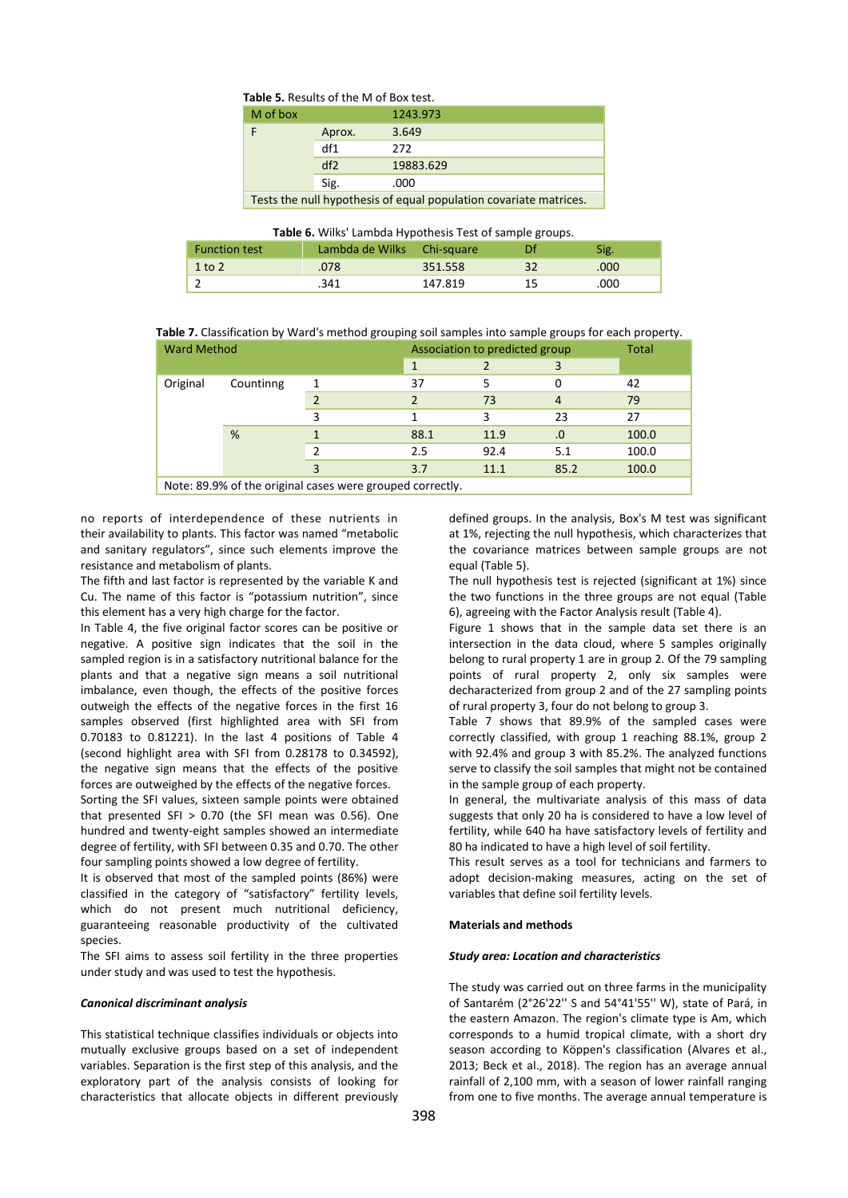## **Table 5.** Results of the M of Box test.

| M of box                                                          |        | 1243.973  |  |  |
|-------------------------------------------------------------------|--------|-----------|--|--|
|                                                                   | Aprox. | 3.649     |  |  |
|                                                                   | df1    | 272       |  |  |
|                                                                   | df2    | 19883.629 |  |  |
|                                                                   | Sig.   | .000      |  |  |
| Tests the null hypothesis of equal population covariate matrices. |        |           |  |  |

|  |  | Table 6. Wilks' Lambda Hypothesis Test of sample groups. |
|--|--|----------------------------------------------------------|
|--|--|----------------------------------------------------------|

| <b>Function test</b> | Lambda de Wilks Chi-square |         | Df | Sig. |
|----------------------|----------------------------|---------|----|------|
| $1$ to $2$           | .078                       | 351.558 | 32 | .000 |
|                      | .341                       | 147.819 | 15 | .000 |

 **Table 7.** Classification by Ward's method grouping soil samples into sample groups for each property.

| <b>Ward Method</b>                                       |  | Association to predicted group | Total         |      |                |       |  |
|----------------------------------------------------------|--|--------------------------------|---------------|------|----------------|-------|--|
|                                                          |  |                                |               | 3    |                |       |  |
| Original<br>Countinng<br>%                               |  |                                | 37            |      | 0              | 42    |  |
|                                                          |  |                                | $\mathcal{P}$ | 73   | $\overline{4}$ | 79    |  |
|                                                          |  |                                |               |      | 23             | 27    |  |
|                                                          |  |                                | 88.1          | 11.9 | $\bf{0}$       | 100.0 |  |
|                                                          |  |                                | 2.5           | 92.4 | 5.1            | 100.0 |  |
|                                                          |  |                                | 3.7           | 11.1 | 85.2           | 100.0 |  |
| Note: 89.9% of the original cases were grouned correctly |  |                                |               |      |                |       |  |

ote: 89.9% of the original cases were grouped correctly.

no reports of interdependence of these nutrients in their availability to plants. This factor was named "metabolic and sanitary regulators", since such elements improve the resistance and metabolism of plants.

The fifth and last factor is represented by the variable K and Cu. The name of this factor is "potassium nutrition", since this element has a very high charge for the factor.

In Table 4, the five original factor scores can be positive or negative. A positive sign indicates that the soil in the sampled region is in a satisfactory nutritional balance for the plants and that a negative sign means a soil nutritional imbalance, even though, the effects of the positive forces outweigh the effects of the negative forces in the first 16 samples observed (first highlighted area with SFI from 0.70183 to 0.81221). In the last 4 positions of Table 4 (second highlight area with SFI from 0.28178 to 0.34592), the negative sign means that the effects of the positive forces are outweighed by the effects of the negative forces.

Sorting the SFI values, sixteen sample points were obtained that presented SFI  $> 0.70$  (the SFI mean was 0.56). One hundred and twenty-eight samples showed an intermediate degree of fertility, with SFI between 0.35 and 0.70. The other four sampling points showed a low degree of fertility.

It is observed that most of the sampled points (86%) were classified in the category of "satisfactory" fertility levels, which do not present much nutritional deficiency, guaranteeing reasonable productivity of the cultivated species.

The SFI aims to assess soil fertility in the three properties under study and was used to test the hypothesis.

## *Canonical discriminant analysis*

This statistical technique classifies individuals or objects into mutually exclusive groups based on a set of independent variables. Separation is the first step of this analysis, and the exploratory part of the analysis consists of looking for characteristics that allocate objects in different previously defined groups. In the analysis, Box's M test was significant at 1%, rejecting the null hypothesis, which characterizes that the covariance matrices between sample groups are not equal (Table 5).

The null hypothesis test is rejected (significant at 1%) since the two functions in the three groups are not equal (Table 6), agreeing with the Factor Analysis result (Table 4).

Figure 1 shows that in the sample data set there is an intersection in the data cloud, where 5 samples originally belong to rural property 1 are in group 2. Of the 79 sampling points of rural property 2, only six samples were decharacterized from group 2 and of the 27 sampling points of rural property 3, four do not belong to group 3.

Table 7 shows that 89.9% of the sampled cases were correctly classified, with group 1 reaching 88.1%, group 2 with 92.4% and group 3 with 85.2%. The analyzed functions serve to classify the soil samples that might not be contained in the sample group of each property.

In general, the multivariate analysis of this mass of data suggests that only 20 ha is considered to have a low level of fertility, while 640 ha have satisfactory levels of fertility and 80 ha indicated to have a high level of soil fertility.

This result serves as a tool for technicians and farmers to adopt decision-making measures, acting on the set of variables that define soil fertility levels.

#### **Materials and methods**

## *Study area: Location and characteristics*

The study was carried out on three farms in the municipality of Santarém (2°26'22'' S and 54°41'55'' W), state of Pará, in the eastern Amazon. The region's climate type is Am, which corresponds to a humid tropical climate, with a short dry season according to Köppen's classification (Alvares et al., 2013; Beck et al., 2018). The region has an average annual rainfall of 2,100 mm, with a season of lower rainfall ranging from one to five months. The average annual temperature is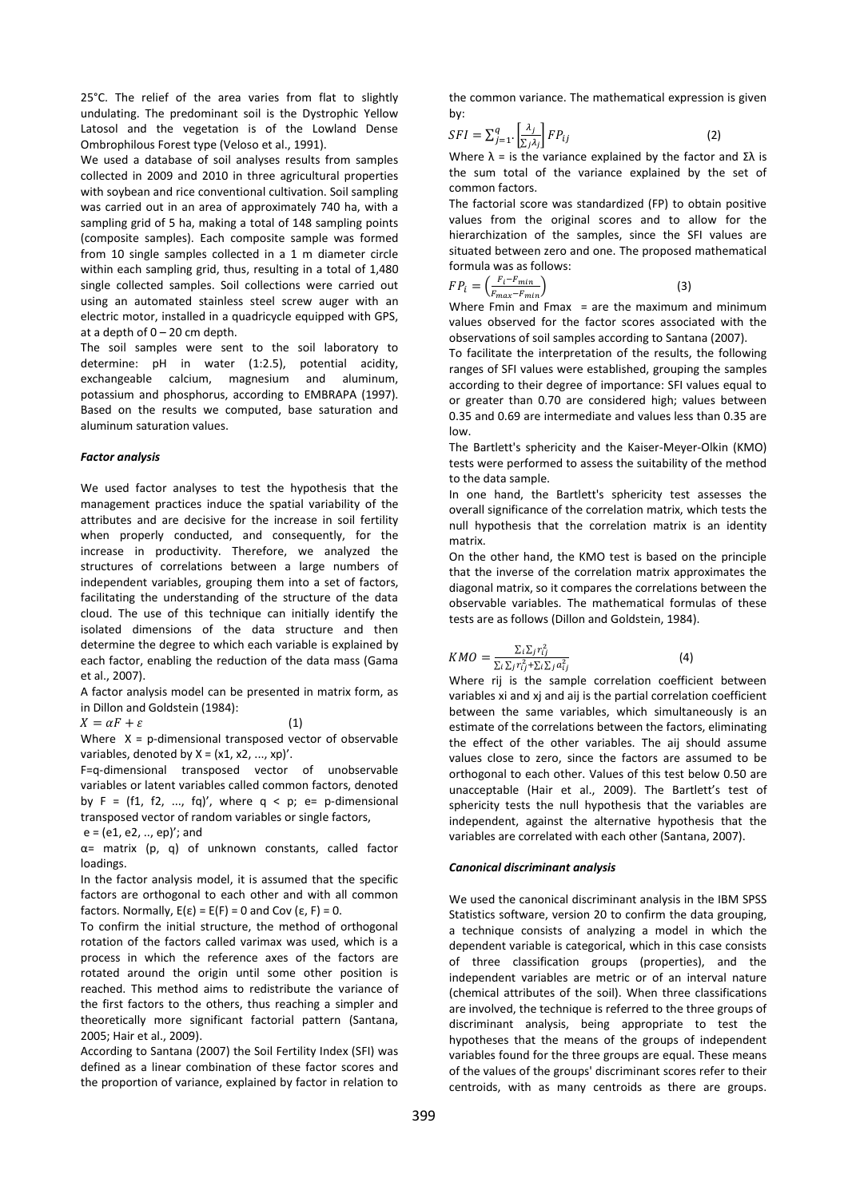25°C. The relief of the area varies from flat to slightly undulating. The predominant soil is the Dystrophic Yellow Latosol and the vegetation is of the Lowland Dense Ombrophilous Forest type (Veloso et al., 1991).

We used a database of soil analyses results from samples collected in 2009 and 2010 in three agricultural properties with soybean and rice conventional cultivation. Soil sampling was carried out in an area of approximately 740 ha, with a sampling grid of 5 ha, making a total of 148 sampling points (composite samples). Each composite sample was formed from 10 single samples collected in a 1 m diameter circle within each sampling grid, thus, resulting in a total of 1,480 single collected samples. Soil collections were carried out using an automated stainless steel screw auger with an electric motor, installed in a quadricycle equipped with GPS, at a depth of  $0 - 20$  cm depth.

The soil samples were sent to the soil laboratory to determine: pH in water (1:2.5), potential acidity, exchangeable calcium, magnesium and aluminum, potassium and phosphorus, according to EMBRAPA (1997). Based on the results we computed, base saturation and aluminum saturation values.

#### *Factor analysis*

We used factor analyses to test the hypothesis that the management practices induce the spatial variability of the attributes and are decisive for the increase in soil fertility when properly conducted, and consequently, for the increase in productivity. Therefore, we analyzed the structures of correlations between a large numbers of independent variables, grouping them into a set of factors, facilitating the understanding of the structure of the data cloud. The use of this technique can initially identify the isolated dimensions of the data structure and then determine the degree to which each variable is explained by each factor, enabling the reduction of the data mass (Gama et al., 2007).

A factor analysis model can be presented in matrix form, as in Dillon and Goldstein (1984):

 $X = \alpha F + \varepsilon$  (1)

Where  $X = p$ -dimensional transposed vector of observable variables, denoted by  $X = (x1, x2, ..., xp)'$ .

F=q-dimensional transposed vector of unobservable variables or latent variables called common factors, denoted by  $F = (f1, f2, ..., fq)$ , where  $q < p$ ; e= p-dimensional transposed vector of random variables or single factors, e = (e1, e2, .., ep)'; and

α= matrix (p, q) of unknown constants, called factor loadings.

In the factor analysis model, it is assumed that the specific factors are orthogonal to each other and with all common factors. Normally,  $E(\varepsilon) = E(F) = 0$  and Cov  $(\varepsilon, F) = 0$ .

To confirm the initial structure, the method of orthogonal rotation of the factors called varimax was used, which is a process in which the reference axes of the factors are rotated around the origin until some other position is reached. This method aims to redistribute the variance of the first factors to the others, thus reaching a simpler and theoretically more significant factorial pattern (Santana, 2005; Hair et al., 2009).

According to Santana (2007) the Soil Fertility Index (SFI) was defined as a linear combination of these factor scores and the proportion of variance, explained by factor in relation to

the common variance. The mathematical expression is given by:

$$
SFI = \sum_{j=1}^{q} \left[ \frac{\lambda_j}{\sum_j \lambda_j} \right] FP_{ij}
$$
 (2)

Where  $\lambda$  = is the variance explained by the factor and  $\Sigma \lambda$  is the sum total of the variance explained by the set of common factors.

The factorial score was standardized (FP) to obtain positive values from the original scores and to allow for the hierarchization of the samples, since the SFI values are situated between zero and one. The proposed mathematical formula was as follows:

$$
FP_i = \left(\frac{F_i - F_{min}}{F_{max} - F_{min}}\right)
$$
\n(3)

Where Fmin and Fmax  $=$  are the maximum and minimum values observed for the factor scores associated with the observations of soil samples according to Santana (2007).

To facilitate the interpretation of the results, the following ranges of SFI values were established, grouping the samples according to their degree of importance: SFI values equal to or greater than 0.70 are considered high; values between 0.35 and 0.69 are intermediate and values less than 0.35 are low.

The Bartlett's sphericity and the Kaiser-Meyer-Olkin (KMO) tests were performed to assess the suitability of the method to the data sample.

In one hand, the Bartlett's sphericity test assesses the overall significance of the correlation matrix, which tests the null hypothesis that the correlation matrix is an identity matrix.

On the other hand, the KMO test is based on the principle that the inverse of the correlation matrix approximates the diagonal matrix, so it compares the correlations between the observable variables. The mathematical formulas of these tests are as follows (Dillon and Goldstein, 1984).

$$
KMO = \frac{\sum_{i} \sum_{j} r_{ij}^{2}}{\sum_{i} \sum_{j} r_{ij}^{2} + \sum_{i} \sum_{j} a_{ij}^{2}}
$$

i (4) Where rij is the sample correlation coefficient between variables xi and xj and aij is the partial correlation coefficient between the same variables, which simultaneously is an estimate of the correlations between the factors, eliminating the effect of the other variables. The aij should assume values close to zero, since the factors are assumed to be orthogonal to each other. Values of this test below 0.50 are unacceptable (Hair et al., 2009). The Bartlett's test of sphericity tests the null hypothesis that the variables are

## *Canonical discriminant analysis*

We used the canonical discriminant analysis in the IBM SPSS Statistics software, version 20 to confirm the data grouping, a technique consists of analyzing a model in which the dependent variable is categorical, which in this case consists of three classification groups (properties), and the independent variables are metric or of an interval nature (chemical attributes of the soil). When three classifications are involved, the technique is referred to the three groups of discriminant analysis, being appropriate to test the hypotheses that the means of the groups of independent variables found for the three groups are equal. These means of the values of the groups' discriminant scores refer to their centroids, with as many centroids as there are groups.

independent, against the alternative hypothesis that the variables are correlated with each other (Santana, 2007).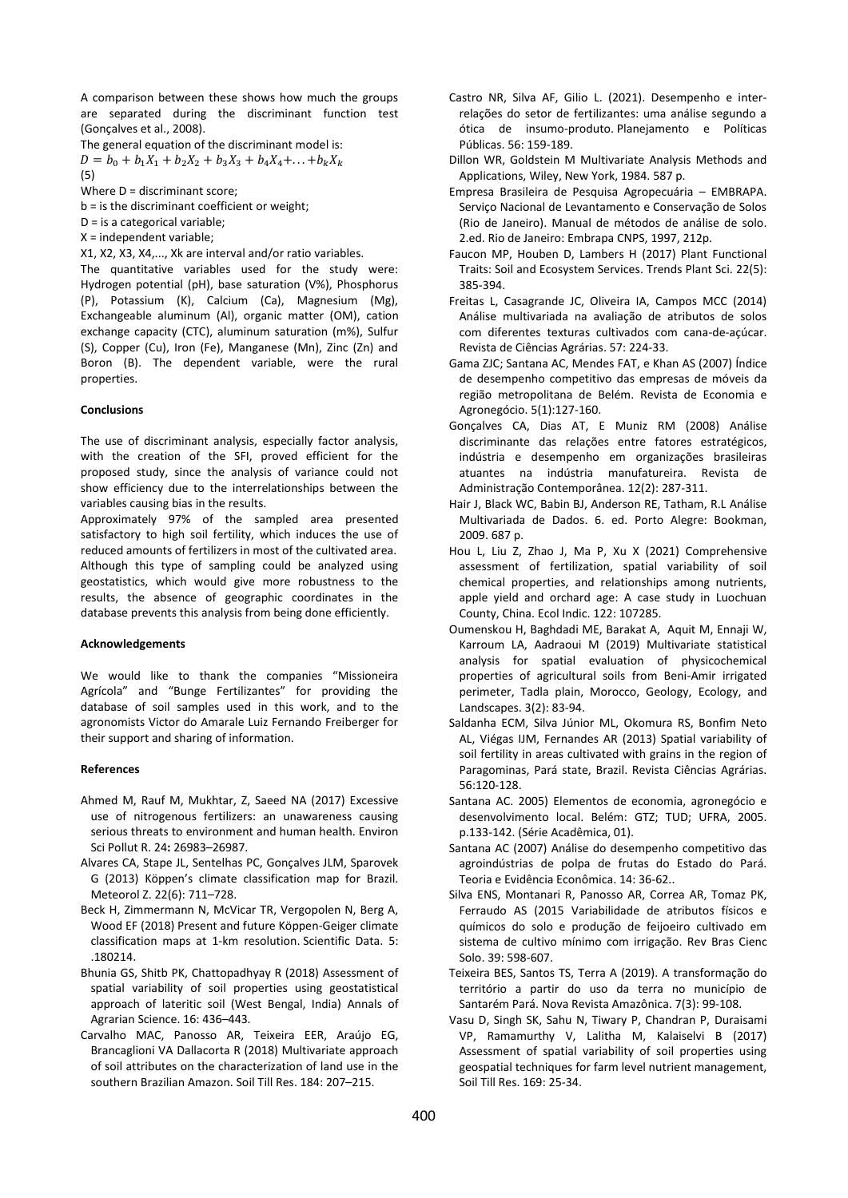A comparison between these shows how much the groups are separated during the discriminant function test (Gonçalves et al., 2008).

The general equation of the discriminant model is:

 $D = b_0 + b_1 X_1 + b_2 X_2 + b_3 X_3 + b_4 X_4 + \dots + b_k X_k$ (5)

Where D = discriminant score;

b = is the discriminant coefficient or weight;

D = is a categorical variable;

X = independent variable;

X1, X2, X3, X4,..., Xk are interval and/or ratio variables.

The quantitative variables used for the study were: Hydrogen potential (pH), base saturation (V%), Phosphorus (P), Potassium (K), Calcium (Ca), Magnesium (Mg), Exchangeable aluminum (Al), organic matter (OM), cation exchange capacity (CTC), aluminum saturation (m%), Sulfur (S), Copper (Cu), Iron (Fe), Manganese (Mn), Zinc (Zn) and Boron (B). The dependent variable, were the rural properties.

## **Conclusions**

The use of discriminant analysis, especially factor analysis, with the creation of the SFI, proved efficient for the proposed study, since the analysis of variance could not show efficiency due to the interrelationships between the variables causing bias in the results.

Approximately 97% of the sampled area presented satisfactory to high soil fertility, which induces the use of reduced amounts of fertilizers in most of the cultivated area. Although this type of sampling could be analyzed using geostatistics, which would give more robustness to the results, the absence of geographic coordinates in the database prevents this analysis from being done efficiently.

#### **Acknowledgements**

We would like to thank the companies "Missioneira Agrícola" and "Bunge Fertilizantes" for providing the database of soil samples used in this work, and to the agronomists Victor do Amarale Luiz Fernando Freiberger for their support and sharing of information.

#### **References**

- Ahmed M, Rauf M, Mukhtar, Z, Saeed NA (2017) Excessive use of nitrogenous fertilizers: an unawareness causing serious threats to environment and human health. Environ Sci Pollut R. 24**:** 26983–26987.
- Alvares CA, Stape JL, Sentelhas PC, Gonçalves JLM, Sparovek G (2013) Köppen's climate classification map for Brazil. Meteorol Z. 22(6): 711–728.
- Beck H, Zimmermann N, McVicar TR, Vergopolen N, Berg A, Wood EF (2018) Present and future Köppen-Geiger climate classification maps at 1-km resolution. Scientific Data. 5: .180214.
- Bhunia GS, Shitb PK, Chattopadhyay R (2018) Assessment of spatial variability of soil properties using geostatistical approach of lateritic soil (West Bengal, India) Annals of Agrarian Science. 16: 436–443*.*
- Carvalho MAC, Panosso AR, Teixeira EER, Araújo EG, Brancaglioni VA Dallacorta R (2018) Multivariate approach of soil attributes on the characterization of land use in the southern Brazilian Amazon. Soil Till Res. 184: 207–215.
- Castro NR, Silva AF, Gilio L. (2021). Desempenho e interrelações do setor de fertilizantes: uma análise segundo a ótica de insumo-produto. Planejamento e Políticas Públicas. 56: 159-189.
- Dillon WR, Goldstein M Multivariate Analysis Methods and Applications, Wiley, New York, 1984. 587 p.
- Empresa Brasileira de Pesquisa Agropecuária EMBRAPA. Serviço Nacional de Levantamento e Conservação de Solos (Rio de Janeiro). Manual de métodos de análise de solo. 2.ed. Rio de Janeiro: Embrapa CNPS, 1997, 212p.
- Faucon MP, Houben D, Lambers H (2017) Plant Functional Traits: Soil and Ecosystem Services. Trends Plant Sci. 22(5): 385-394.
- Freitas L, Casagrande JC, Oliveira IA, Campos MCC (2014) Análise multivariada na avaliação de atributos de solos com diferentes texturas cultivados com cana-de-açúcar. Revista de Ciências Agrárias. 57: 224-33.
- Gama ZJC; Santana AC, Mendes FAT, e Khan AS (2007) Índice de desempenho competitivo das empresas de móveis da região metropolitana de Belém. Revista de Economia e Agronegócio. 5(1):127-160.
- Gonçalves CA, Dias AT, E Muniz RM (2008) Análise discriminante das relações entre fatores estratégicos, indústria e desempenho em organizações brasileiras atuantes na indústria manufatureira. Revista de Administração Contemporânea. 12(2): 287-311.
- Hair J, Black WC, Babin BJ, Anderson RE, Tatham, R.L Análise Multivariada de Dados. 6. ed. Porto Alegre: Bookman, 2009. 687 p.
- Hou L, Liu Z, Zhao J, Ma P, Xu X (2021) Comprehensive assessment of fertilization, spatial variability of soil chemical properties, and relationships among nutrients, apple yield and orchard age: A case study in Luochuan County, China. Ecol Indic. 122: 107285.
- Oumenskou H, Baghdadi ME, Barakat A, Aquit M, Ennaji W, Karroum LA, Aadraoui M (2019) Multivariate statistical analysis for spatial evaluation of physicochemical properties of agricultural soils from Beni-Amir irrigated perimeter, Tadla plain, Morocco, Geology, Ecology, and Landscapes. 3(2): 83-94.
- Saldanha ECM, Silva Júnior ML, Okomura RS, Bonfim Neto AL, Viégas IJM, Fernandes AR (2013) Spatial variability of soil fertility in areas cultivated with grains in the region of Paragominas, Pará state, Brazil. Revista Ciências Agrárias. 56:120-128.
- Santana AC. 2005) Elementos de economia, agronegócio e desenvolvimento local. Belém: GTZ; TUD; UFRA, 2005. p.133-142. (Série Acadêmica, 01).
- Santana AC (2007) Análise do desempenho competitivo das agroindústrias de polpa de frutas do Estado do Pará. Teoria e Evidência Econômica. 14: 36-62..
- Silva ENS, Montanari R, Panosso AR, Correa AR, Tomaz PK, Ferraudo AS (2015 Variabilidade de atributos físicos e químicos do solo e produção de feijoeiro cultivado em sistema de cultivo mínimo com irrigação. Rev Bras Cienc Solo. 39: 598-607.
- Teixeira BES, Santos TS, Terra A (2019). A transformação do território a partir do uso da terra no município de Santarém Pará. Nova Revista Amazônica. 7(3): 99-108.
- Vasu D, Singh SK, Sahu N, Tiwary P, Chandran P, Duraisami VP, Ramamurthy V, Lalitha M, Kalaiselvi B (2017) Assessment of spatial variability of soil properties using geospatial techniques for farm level nutrient management, Soil Till Res. 169: 25-34.